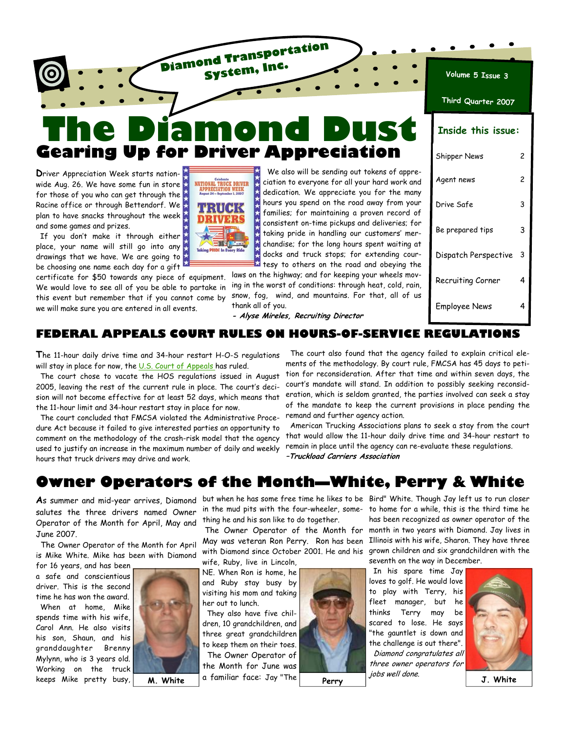

Racine office or through Bettendorf. We \* plan to have snacks throughout the week  $\bigwedge$ and some games and prizes.

If you don't make it through either place, your name will still go into any drawings that we have. We are going to be choosing one name each day for a gift

certificate for \$50 towards any piece of equipment. We would love to see all of you be able to partake in this event but remember that if you cannot come by we will make sure you are entered in all events.



hours you spend on the road away from your families; for maintaining a proven record of consistent on-time pickups and deliveries; for taking pride in handling our customers' merchandise; for the long hours spent waiting at docks and truck stops; for extending courtesy to others on the road and obeying the

laws on the highway; and for keeping your wheels moving in the worst of conditions: through heat, cold, rain, snow, fog, wind, and mountains. For that, all of us thank all of you.

| Drive Safe           |   |
|----------------------|---|
| Be prepared tips     | 3 |
| Dispatch Perspective | 3 |
| Recruiting Corner    |   |

Employee News 4

**- Alyse Mireles, Recruiting Director** 

### **FEDERAL APPEALS COURT RULES ON HOURS-OF-SERVICE REGULATIONS**

**T**he 11-hour daily drive time and 34-hour restart H-O-S regulations will stay in place for now, the U.S. Court of Appeals has ruled.

 The court chose to vacate the HOS regulations issued in August 2005, leaving the rest of the current rule in place. The court's decision will not become effective for at least 52 days, which means that the 11-hour limit and 34-hour restart stay in place for now.

 The court concluded that FMCSA violated the Administrative Procedure Act because it failed to give interested parties an opportunity to comment on the methodology of the crash-risk model that the agency used to justify an increase in the maximum number of daily and weekly hours that truck drivers may drive and work.

 The court also found that the agency failed to explain critical elements of the methodology. By court rule, FMCSA has 45 days to petition for reconsideration. After that time and within seven days, the court's mandate will stand. In addition to possibly seeking reconsideration, which is seldom granted, the parties involved can seek a stay of the mandate to keep the current provisions in place pending the remand and further agency action.

 American Trucking Associations plans to seek a stay from the court that would allow the 11-hour daily drive time and 34-hour restart to remain in place until the agency can re-evaluate these regulations. **–Truckload Carriers Association** 

## **Owner Operators of the Month—White, Perry & White**

**A**s summer and mid-year arrives, Diamond salutes the three drivers named Owner Operator of the Month for April, May and June 2007.

 The Owner Operator of the Month for April is Mike White. Mike has been with Diamond

for 16 years, and has been a safe and conscientious driver. This is the second time he has won the award. When at home, Mike spends time with his wife, Carol Ann. He also visits his son, Shaun, and his granddaughter Brenny Mylynn, who is 3 years old. Working on the truck keeps Mike pretty busy,



in the mud pits with the four-wheeler, something he and his son like to do together.

The Owner Operator of the Month for May was veteran Ron Perry. Ron has been with Diamond since October 2001. He and his wife, Ruby, live in Lincoln,

NE. When Ron is home, he and Ruby stay busy by visiting his mom and taking her out to lunch.

 They also have five children, 10 grandchildren, and three great grandchildren to keep them on their toes. The Owner Operator of the Month for June was **M. White** a familiar face: Jay "The **Perry**  $\begin{vmatrix} J^{ODS\textit{Well done.}} & J. \end{vmatrix}$  **J. White** 



but when he has some free time he likes to be Bird" White. Though Jay left us to run closer to home for a while, this is the third time he has been recognized as owner operator of the month in two years with Diamond. Jay lives in Illinois with his wife, Sharon. They have three grown children and six grandchildren with the seventh on the way in December.

 In his spare time Jay loves to golf. He would love to play with Terry, his fleet manager, but he thinks Terry may be scared to lose. He says "the gauntlet is down and the challenge is out there". Diamond congratulates all three owner operators for jobs well done. **Perry** 

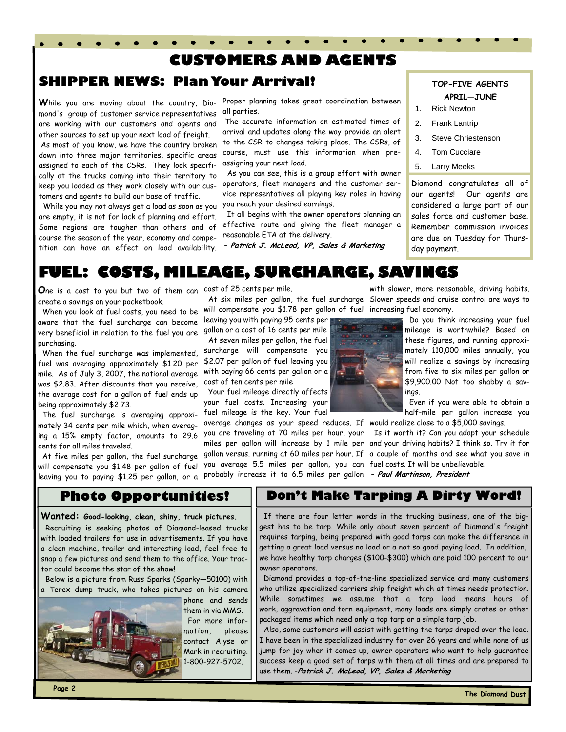### **CUSTOMERS AND AGENTS**

### **SHIPPER NEWS: Plan Your Arrival!** TOP-FIVE AGENTS

mond's group of customer service representatives are working with our customers and agents and other sources to set up your next load of freight. As most of you know, we have the country broken down into three major territories, specific areas assigned to each of the CSRs. They look specifically at the trucks coming into their territory to keep you loaded as they work closely with our customers and agents to build our base of traffic.

 While you may not always get a load as soon as you you reach your desired earnings. are empty, it is not for lack of planning and effort. Some regions are tougher than others and of course the season of the year, economy and competition can have an effect on load availability.

**W**hile you are moving about the country, Dia-Proper planning takes great coordination between all parties.

> The accurate information on estimated times of arrival and updates along the way provide an alert to the CSR to changes taking place. The CSRs, of course, must use this information when preassigning your next load.

> As you can see, this is a group effort with owner operators, fleet managers and the customer service representatives all playing key roles in having

> It all begins with the owner operators planning an effective route and giving the fleet manager a reasonable ETA at the delivery.

**- Patrick J. McLeod, VP, Sales & Marketing** 

# **APRIL—JUNE**

- 1. Rick Newton
- 2. Frank Lantrip
- 3. Steve Chriestenson
- 4. Tom Cucciare
- 5. Larry Meeks

**D**iamond congratulates all of our agents! Our agents are considered a large part of our sales force and customer base. Remember commission invoices are due on Tuesday for Thursday payment.

## **FUEL: COSTS, MILEAGE, SURCHARGE, SAVINGS**

**O**ne is a cost to you but two of them can cost of 25 cents per mile. create a savings on your pocketbook.

 When you look at fuel costs, you need to be aware that the fuel surcharge can become very beneficial in relation to the fuel you are purchasing.

 When the fuel surcharge was implemented, fuel was averaging approximately \$1.20 per mile. As of July 3, 2007, the national average was \$2.83. After discounts that you receive, the average cost for a gallon of fuel ends up being approximately \$2.73.

 The fuel surcharge is averaging approximately 34 cents per mile which, when averaging a 15% empty factor, amounts to 29.6 cents for all miles traveled.

 At five miles per gallon, the fuel surcharge will compensate you \$1.48 per gallon of fuel leaving you to paying \$1.25 per gallon, or a

 At six miles per gallon, the fuel surcharge Slower speeds and cruise control are ways to will compensate you \$1.78 per gallon of fuel increasing fuel economy.

leaving you with paying 95 cents per gallon or a cost of 16 cents per mile

 At seven miles per gallon, the fuel surcharge will compensate you \$2.07 per gallon of fuel leaving you with paying 66 cents per gallon or a cost of ten cents per mile

 Your fuel mileage directly affects your fuel costs. Increasing your fuel mileage is the key. Your fuel

average changes as your speed reduces. If would realize close to a \$5,000 savings. you are traveling at 70 miles per hour, your Is it worth it? Can you adapt your schedule miles per gallon will increase by 1 mile per and your driving habits? I think so. Try it for gallon versus. running at 60 miles per hour. If a couple of months and see what you save in you average 5.5 miles per gallon, you can fuel costs. It will be unbelievable. probably increase it to 6.5 miles per gallon **- Paul Martinson, President**



with slower, more reasonable, driving habits.

 Do you think increasing your fuel mileage is worthwhile? Based on these figures, and running approximately 110,000 miles annually, you will realize a savings by increasing from five to six miles per gallon or \$9,900.00 Not too shabby a savings.

 Even if you were able to obtain a half-mile per gallon increase you

### **Photo Opportunities!**

**Wanted: Good-looking, clean, shiny, truck pictures.** Recruiting is seeking photos of Diamond-leased trucks with loaded trailers for use in advertisements. If you have a clean machine, trailer and interesting load, feel free to snap a few pictures and send them to the office. Your tractor could become the star of the show!

 Below is a picture from Russ Sparks (Sparky—50100) with a Terex dump truck, who takes pictures on his camera



phone and sends them in via MMS. For more information, please contact Alyse or Mark in recruiting. 1-800-927-5702.

### **Don't Make Tarping A Dirty Word!**

 If there are four letter words in the trucking business, one of the biggest has to be tarp. While only about seven percent of Diamond's freight requires tarping, being prepared with good tarps can make the difference in getting a great load versus no load or a not so good paying load. In addition, we have healthy tarp charges (\$100-\$300) which are paid 100 percent to our owner operators.

 Diamond provides a top-of-the-line specialized service and many customers who utilize specialized carriers ship freight which at times needs protection. While sometimes we assume that a tarp load means hours of work, aggravation and torn equipment, many loads are simply crates or other packaged items which need only a top tarp or a simple tarp job.

 Also, some customers will assist with getting the tarps draped over the load. I have been in the specialized industry for over 26 years and while none of us jump for joy when it comes up, owner operators who want to help guarantee success keep a good set of tarps with them at all times and are prepared to use them. -**Patrick J. McLeod, VP, Sales & Marketing**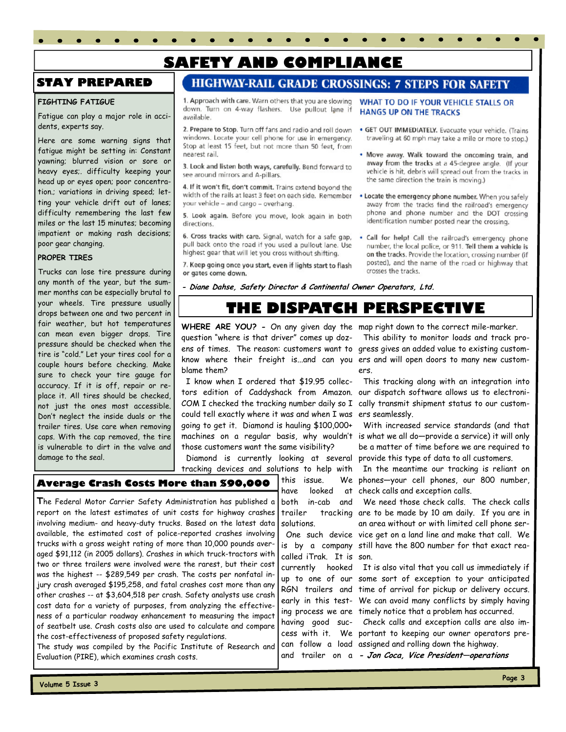## **SAFETY AND COMPLIANCE**

### **STAY PREPARED**

#### **FIGHTING FATIGUE**

Fatigue can play a major role in accidents, experts say.

Here are some warning signs that fatigue might be setting in: Constant yawning; blurred vision or sore or heavy eyes;. difficulty keeping your head up or eyes open; poor concentration.; variations in driving speed; letting your vehicle drift out of lanes; difficulty remembering the last few miles or the last 15 minutes; becoming impatient or making rash decisions; poor gear changing.

#### **PROPER TIRES**

Trucks can lose tire pressure during any month of the year, but the summer months can be especially brutal to your wheels. Tire pressure usually drops between one and two percent in fair weather, but hot temperatures can mean even bigger drops. Tire pressure should be checked when the tire is "cold." Let your tires cool for a couple hours before checking. Make sure to check your tire gauge for accuracy. If it is off, repair or replace it. All tires should be checked, not just the ones most accessible. Don't neglect the inside duals or the trailer tires. Use care when removing caps. With the cap removed, the tire is vulnerable to dirt in the valve and damage to the seal.

### **HIGHWAY-RAIL GRADE CROSSINGS: 7 STEPS FOR SAFETY**

1. Approach with care. Warn others that you are slowing down. Turn on 4-way flashers. Use pullout lane if available.

2. Prepare to Stop. Turn off fans and radio and roll down windows. Locate your cell phone for use in emergency. Stop at least 15 feet, but not more than 50 feet, from nearest rail.

3. Look and listen both ways, carefully. Bend forward to see around mirrors and A-pillars.

4. If it won't fit, don't commit. Trains extend beyond the width of the rails at least 3 feet on each side. Remember your vehicle - and cargo - overhang.

5. Look again. Before you move, look again in both directions.

6. Cross tracks with care. Signal, watch for a safe gap, pull back onto the road if you used a pullout lane. Use highest gear that will let you cross without shifting.

7. Keep going once you start, even if lights start to flash or gates come down.

- WHAT TO DO IF YOUR VEHICLE STALLS OR **HANGS UP ON THE TRACKS**
- · GET OUT IMMEDIATELY. Evacuate your vehicle. (Trains traveling at 60 mph may take a mile or more to stop.)
- Move away. Walk toward the oncoming train, and away from the tracks at a 45-degree angle. (If your vehicle is hit, debris will spread out from the tracks in the same direction the train is moving.)
- . Locate the emergency phone number. When you safely away from the tracks find the railroad's emergency phone and phone number and the DOT crossing identification number posted near the crossing.
- . Call for help! Call the railroad's emergency phone number, the local police, or 911. Tell them a vehicle is on the tracks. Provide the location, crossing number (if posted), and the name of the road or highway that crosses the tracks.

**- Diane Dahse, Safety Director & Continental Owner Operators, Ltd.** 

## **THE DISPATCH PERSPECTIVE**

**WHERE ARE YOU? -** On any given day the map right down to the correct mile-marker. question "where is that driver" comes up dozblame them?

 I know when I ordered that \$19.95 colleccould tell exactly where it was and when I was ers seamlessly. going to get it. Diamond is hauling \$100,000+ those customers want the same visibility?

 Diamond is currently looking at several provide this type of data to all customers. tracking devices and solutions to help with

> this issue. have looked both in-cab and

solutions.

#### **Average Crash Costs More than \$90,000**

**T**he Federal Motor Carrier Safety Administration has published a report on the latest estimates of unit costs for highway crashes involving medium- and heavy-duty trucks. Based on the latest data available, the estimated cost of police-reported crashes involving trucks with a gross weight rating of more than 10,000 pounds averaged \$91,112 (in 2005 dollars). Crashes in which truck-tractors with two or three trailers were involved were the rarest, but their cost was the highest -- \$289,549 per crash. The costs per nonfatal injury crash averaged \$195,258, and fatal crashes cost more than any other crashes -- at \$3,604,518 per crash. Safety analysts use crash cost data for a variety of purposes, from analyzing the effectiveness of a particular roadway enhancement to measuring the impact of seatbelt use. Crash costs also are used to calculate and compare the cost-effectiveness of proposed safety regulations.

The study was compiled by the Pacific Institute of Research and Evaluation (PIRE), which examines crash costs.

ens of times. The reason: customers want to gress gives an added value to existing customknow where their freight is...and can you ers and will open doors to many new custom- This ability to monitor loads and track proers.

tors edition of Caddyshack from Amazon. our dispatch software allows us to electroni-COM I checked the tracking number daily so  $I$  cally transmit shipment status to our custom-This tracking along with an integration into

machines on a regular basis, why wouldn't is what we all do—provide a service) it will only With increased service standards (and that be a matter of time before we are required to

> In the meantime our tracking is reliant on We phones-your cell phones, our 800 number, at check calls and exception calls.

trailer tracking are to be made by 10 am daily. If you are in One such device vice get on a land line and make that call. We is by a company still have the 800 number for that exact reacalled iTrak. It is son. We need those check calls. The check calls an area without or with limited cell phone ser-

currently hooked It is also vital that you call us immediately if up to one of our some sort of exception to your anticipated RGN trailers and time of arrival for pickup or delivery occurs. early in this test-We can avoid many conflicts by simply having ing process we are timely notice that a problem has occurred.

having good suc- Check calls and exception calls are also imcess with it. We portant to keeping our owner operators precan follow a load assigned and rolling down the highway.

and trailer on a **- Jon Coca, Vice President—operations**